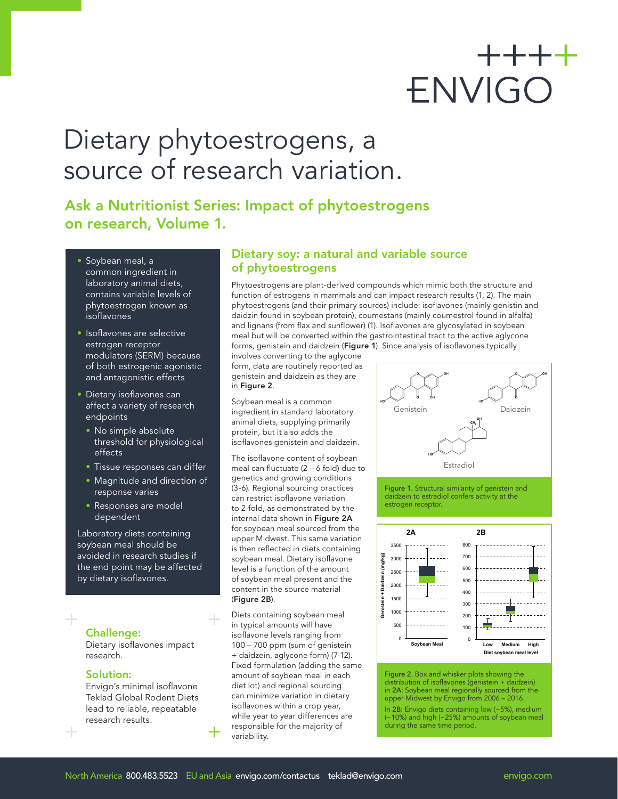# $+++++$ ENVIGO

## Dietary phytoestrogens, a source of research variation.

Ask a Nutritionist Series: Impact of phytoestrogens on research, Volume 1.

- Soybean meal, a common ingredient in laboratory animal diets, contains variable levels of phytoestrogen known as isoflavones
- Isoflavones are selective estrogen receptor modulators (SERM) because of both estrogenic agonistic and antagonistic effects
- Dietary isoflavones can affect a variety of research endpoints
	- No simple absolute threshold for physiological effects
	- Tissue responses can differ
	- Magnitude and direction of response varies
	- Responses are model dependent

Laboratory diets containing soybean meal should be avoided in research studies if the end point may be affected by dietary isoflavones.

Challenge:

Dietary isoflavones impact research.

#### Solution:

Envigo's minimal isoflavone Teklad Global Rodent Diets lead to reliable, repeatable research results.

#### Dietary soy: a natural and variable source of phytoestrogens

Phytoestrogens are plant-derived compounds which mimic both the structure and function of estrogens in mammals and can impact research results (1, 2). The main phytoestrogens (and their primary sources) include: isoflavones (mainly genistin and daidzin found in soybean protein), coumestans (mainly coumestrol found in alfalfa) and lignans (from flax and sunflower) (1). Isoflavones are glycosylated in soybean meal but will be converted within the gastrointestinal tract to the active aglycone forms, genistein and daidzein (Figure 1). Since analysis of isoflavones typically

involves converting to the aglycone form, data are routinely reported as genistein and daidzein as they are in Figure 2.

Soybean meal is a common ingredient in standard laboratory animal diets, supplying primarily protein, but it also adds the isoflavones genistein and daidzein.

The isoflavone content of soybean meal can fluctuate (2 – 6 fold) due to genetics and growing conditions (3-6). Regional sourcing practices can restrict isoflavone variation to 2-fold, as demonstrated by the internal data shown in Figure 2A for soybean meal sourced from the upper Midwest. This same variation is then reflected in diets containing soybean meal. Dietary isoflavone level is a function of the amount of soybean meal present and the content in the source material (Figure 2B).

Diets containing soybean meal in typical amounts will have isoflavone levels ranging from 100 – 700 ppm (sum of genistein + daidzein, aglycone form) (7-12). Fixed formulation (adding the same amount of soybean meal in each diet lot) and regional sourcing can minimize variation in dietary isoflavones within a crop year, while year to year differences are responsible for the majority of variability.



Figure 1. Structural similarity of genistein and daidzein to estradiol confers activity at the estrogen receptor.



Figure 2. Box and whisker plots showing the distribution of isoflavones (genistein + daidzein) in 2A: Soybean meal regionally sourced from the upper Midwest by Envigo from 2006 – 2016.

In 2B: Envigo diets containing low (~5%), medium (~10%) and high (~25%) amounts of soybean meal during the same time period.